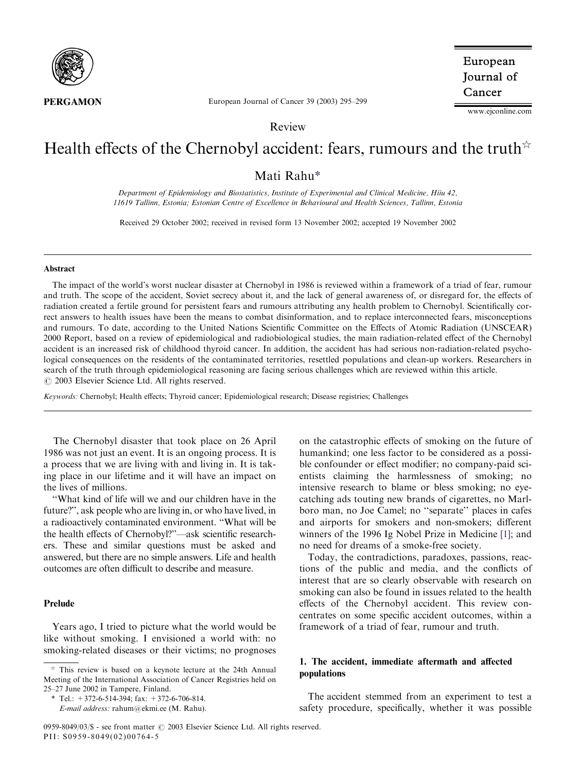

European Journal of Cancer 39 (2003) 295–299

European Journal of Cancer

[www.ejconline.com](http://www.elsevier.com/locate/ejconline/a4.3d)

# Review

# Health effects of the Chernobyl accident: fears, rumours and the truth $\dot{\alpha}$

Mati Rahu\*

Department of Epidemiology and Biostatistics, Institute of Experimental and Clinical Medicine, Hiiu 42, 11619 Tallinn, Estonia; Estonian Centre of Excellence in Behavioural and Health Sciences, Tallinn, Estonia

Received 29 October 2002; received in revised form 13 November 2002; accepted 19 November 2002

#### Abstract

The impact of the world's worst nuclear disaster at Chernobyl in 1986 is reviewed within a framework of a triad of fear, rumour and truth. The scope of the accident, Soviet secrecy about it, and the lack of general awareness of, or disregard for, the effects of radiation created a fertile ground for persistent fears and rumours attributing any health problem to Chernobyl. Scientifically correct answers to health issues have been the means to combat disinformation, and to replace interconnected fears, misconceptions and rumours. To date, according to the United Nations Scientific Committee on the Effects of Atomic Radiation (UNSCEAR) 2000 Report, based on a review of epidemiological and radiobiological studies, the main radiation-related effect of the Chernobyl accident is an increased risk of childhood thyroid cancer. In addition, the accident has had serious non-radiation-related psychological consequences on the residents of the contaminated territories, resettled populations and clean-up workers. Researchers in search of the truth through epidemiological reasoning are facing serious challenges which are reviewed within this article.  $\odot$  2003 Elsevier Science Ltd. All rights reserved.

Keywords: Chernobyl; Health effects; Thyroid cancer; Epidemiological research; Disease registries; Challenges

The Chernobyl disaster that took place on 26 April 1986 was not just an event. It is an ongoing process. It is a process that we are living with and living in. It is taking place in our lifetime and it will have an impact on the lives of millions.

''What kind of life will we and our children have in the future?'', ask people who are living in, or who have lived, in a radioactively contaminated environment. ''What will be the health effects of Chernobyl?''—ask scientific researchers. These and similar questions must be asked and answered, but there are no simple answers. Life and health outcomes are often difficult to describe and measure.

#### Prelude

Years ago, I tried to picture what the world would be like without smoking. I envisioned a world with: no smoking-related diseases or their victims; no prognoses

 $*$  Tel.: +372-6-514-394; fax: +372-6-706-814.

E-mail address: [rahum@ekmi.ee](mailto:rahum@ekmi.ee) (M. Rahu).

on the catastrophic effects of smoking on the future of humankind; one less factor to be considered as a possible confounder or effect modifier; no company-paid scientists claiming the harmlessness of smoking; no intensive research to blame or bless smoking; no eyecatching ads touting new brands of cigarettes, no Marlboro man, no Joe Camel; no "separate" places in cafes and airports for smokers and non-smokers; different winners of the 1996 Ig Nobel Prize in Medicine [\[1\]](#page-3-0); and no need for dreams of a smoke-free society.

Today, the contradictions, paradoxes, passions, reactions of the public and media, and the conflicts of interest that are so clearly observable with research on smoking can also be found in issues related to the health effects of the Chernobyl accident. This review concentrates on some specific accident outcomes, within a framework of a triad of fear, rumour and truth.

## 1. The accident, immediate aftermath and affected populations

The accident stemmed from an experiment to test a safety procedure, specifically, whether it was possible

 $*$  This review is based on a keynote lecture at the 24th Annual Meeting of the International Association of Cancer Registries held on 25–27 June 2002 in Tampere, Finland.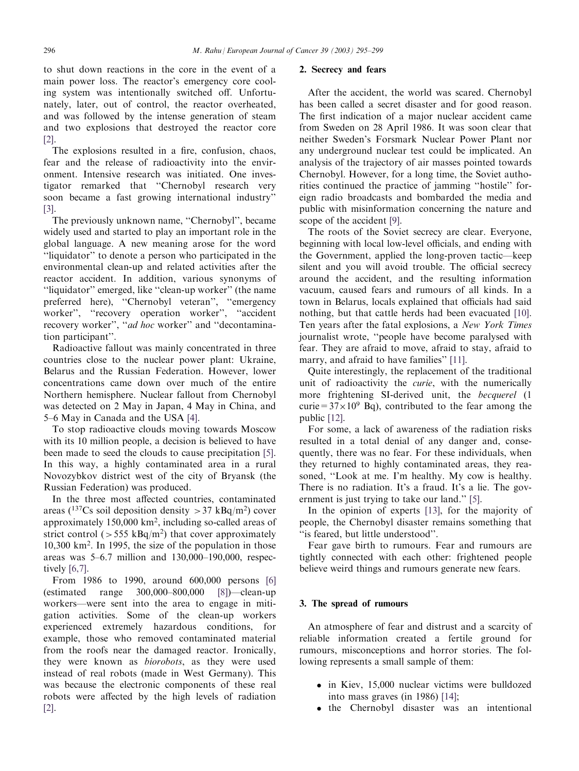to shut down reactions in the core in the event of a main power loss. The reactor's emergency core cooling system was intentionally switched off. Unfortunately, later, out of control, the reactor overheated, and was followed by the intense generation of steam and two explosions that destroyed the reactor core [2].

The explosions resulted in a fire, confusion, chaos, fear and the release of radioactivity into the environment. Intensive research was initiated. One investigator remarked that ''Chernobyl research very soon became a fast growing international industry'' [\[3\]](#page-3-0).

The previously unknown name, ''Chernobyl'', became widely used and started to play an important role in the global language. A new meaning arose for the word ''liquidator'' to denote a person who participated in the environmental clean-up and related activities after the reactor accident. In addition, various synonyms of ''liquidator'' emerged, like ''clean-up worker'' (the name preferred here), "Chernobyl veteran", "emergency worker'', ''recovery operation worker'', ''accident recovery worker", "*ad hoc* worker" and "decontamination participant''.

Radioactive fallout was mainly concentrated in three countries close to the nuclear power plant: Ukraine, Belarus and the Russian Federation. However, lower concentrations came down over much of the entire Northern hemisphere. Nuclear fallout from Chernobyl was detected on 2 May in Japan, 4 May in China, and 5–6 May in Canada and the USA [\[4\]](#page-3-0).

To stop radioactive clouds moving towards Moscow with its 10 million people, a decision is believed to have been made to seed the clouds to cause precipitation [\[5\]](#page-3-0). In this way, a highly contaminated area in a rural Novozybkov district west of the city of Bryansk (the Russian Federation) was produced.

In the three most affected countries, contaminated areas ( $^{137}Cs$  soil deposition density > 37 kBq/m<sup>2</sup>) cover approximately 150,000 km<sup>2</sup>, including so-called areas of strict control ( $> 555 \text{ kBq/m}^2$ ) that cover approximately 10,300 km<sup>2</sup> . In 1995, the size of the population in those areas was 5–6.7 million and 130,000–190,000, respectively [\[6,7\]](#page-3-0).

From 1986 to 1990, around 600,000 persons [\[6\]](#page-3-0) (estimated range 300,000–800,000 [\[8\]](#page-3-0))—clean-up workers—were sent into the area to engage in mitigation activities. Some of the clean-up workers experienced extremely hazardous conditions, for example, those who removed contaminated material from the roofs near the damaged reactor. Ironically, they were known as biorobots, as they were used instead of real robots (made in West Germany). This was because the electronic components of these real robots were affected by the high levels of radiation [2].

### 2. Secrecy and fears

After the accident, the world was scared. Chernobyl has been called a secret disaster and for good reason. The first indication of a major nuclear accident came from Sweden on 28 April 1986. It was soon clear that neither Sweden's Forsmark Nuclear Power Plant nor any underground nuclear test could be implicated. An analysis of the trajectory of air masses pointed towards Chernobyl. However, for a long time, the Soviet authorities continued the practice of jamming ''hostile'' foreign radio broadcasts and bombarded the media and public with misinformation concerning the nature and scope of the accident [\[9\].](#page-3-0)

The roots of the Soviet secrecy are clear. Everyone, beginning with local low-level officials, and ending with the Government, applied the long-proven tactic—keep silent and you will avoid trouble. The official secrecy around the accident, and the resulting information vacuum, caused fears and rumours of all kinds. In a town in Belarus, locals explained that officials had said nothing, but that cattle herds had been evacuated [\[10\]](#page-3-0). Ten years after the fatal explosions, a New York Times journalist wrote, ''people have become paralysed with fear. They are afraid to move, afraid to stay, afraid to marry, and afraid to have families'' [\[11\]](#page-3-0).

Quite interestingly, the replacement of the traditional unit of radioactivity the *curie*, with the numerically more frightening SI-derived unit, the becquerel (1 curie= $37\times10^9$  Bq), contributed to the fear among the public [\[12\].](#page-4-0)

For some, a lack of awareness of the radiation risks resulted in a total denial of any danger and, consequently, there was no fear. For these individuals, when they returned to highly contaminated areas, they reasoned, ''Look at me. I'm healthy. My cow is healthy. There is no radiation. It's a fraud. It's a lie. The government is just trying to take our land.'' [\[5\]](#page-3-0).

In the opinion of experts [\[13\],](#page-4-0) for the majority of people, the Chernobyl disaster remains something that ''is feared, but little understood''.

Fear gave birth to rumours. Fear and rumours are tightly connected with each other: frightened people believe weird things and rumours generate new fears.

#### 3. The spread of rumours

An atmosphere of fear and distrust and a scarcity of reliable information created a fertile ground for rumours, misconceptions and horror stories. The following represents a small sample of them:

- in Kiev, 15,000 nuclear victims were bulldozed into mass graves (in 1986) [\[14\];](#page-4-0)
- the Chernobyl disaster was an intentional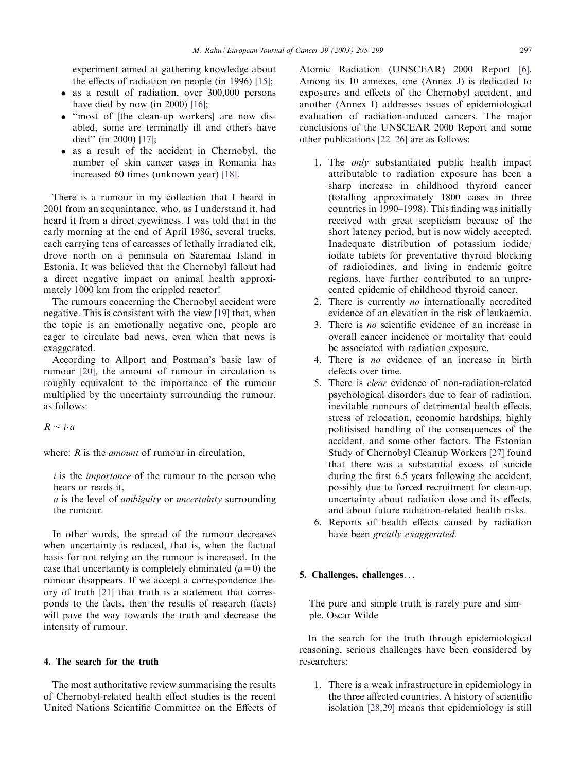experiment aimed at gathering knowledge about the effects of radiation on people (in 1996) [\[15\];](#page-4-0)

- as a result of radiation, over 300,000 persons have died by now (in 2000) [\[16\];](#page-4-0)
- "most of [the clean-up workers] are now disabled, some are terminally ill and others have died'' (in 2000) [\[17\]](#page-4-0);
- as a result of the accident in Chernobyl, the number of skin cancer cases in Romania has increased 60 times (unknown year) [\[18\].](#page-4-0)

There is a rumour in my collection that I heard in 2001 from an acquaintance, who, as I understand it, had heard it from a direct eyewitness. I was told that in the early morning at the end of April 1986, several trucks, each carrying tens of carcasses of lethally irradiated elk, drove north on a peninsula on Saaremaa Island in Estonia. It was believed that the Chernobyl fallout had a direct negative impact on animal health approximately 1000 km from the crippled reactor!

The rumours concerning the Chernobyl accident were negative. This is consistent with the view [\[19\]](#page-4-0) that, when the topic is an emotionally negative one, people are eager to circulate bad news, even when that news is exaggerated.

According to Allport and Postman's basic law of rumour [\[20\],](#page-4-0) the amount of rumour in circulation is roughly equivalent to the importance of the rumour multiplied by the uncertainty surrounding the rumour, as follows:

 $R \sim i \cdot a$ 

where:  $R$  is the *amount* of rumour in circulation,

 $i$  is the *importance* of the rumour to the person who hears or reads it,

a is the level of ambiguity or uncertainty surrounding the rumour.

In other words, the spread of the rumour decreases when uncertainty is reduced, that is, when the factual basis for not relying on the rumour is increased. In the case that uncertainty is completely eliminated  $(a=0)$  the rumour disappears. If we accept a correspondence theory of truth [\[21\]](#page-4-0) that truth is a statement that corresponds to the facts, then the results of research (facts) will pave the way towards the truth and decrease the intensity of rumour.

### 4. The search for the truth

The most authoritative review summarising the results of Chernobyl-related health effect studies is the recent United Nations Scientific Committee on the Effects of

Atomic Radiation (UNSCEAR) 2000 Report [\[6\]](#page-3-0). Among its 10 annexes, one (Annex J) is dedicated to exposures and effects of the Chernobyl accident, and another (Annex I) addresses issues of epidemiological evaluation of radiation-induced cancers. The major conclusions of the UNSCEAR 2000 Report and some other publications [\[22–26\]](#page-4-0) are as follows:

- 1. The only substantiated public health impact attributable to radiation exposure has been a sharp increase in childhood thyroid cancer (totalling approximately 1800 cases in three countries in 1990–1998). This finding was initially received with great scepticism because of the short latency period, but is now widely accepted. Inadequate distribution of potassium iodide/ iodate tablets for preventative thyroid blocking of radioiodines, and living in endemic goitre regions, have further contributed to an unprecented epidemic of childhood thyroid cancer.
- 2. There is currently no internationally accredited evidence of an elevation in the risk of leukaemia.
- 3. There is no scientific evidence of an increase in overall cancer incidence or mortality that could be associated with radiation exposure.
- 4. There is no evidence of an increase in birth defects over time.
- 5. There is clear evidence of non-radiation-related psychological disorders due to fear of radiation, inevitable rumours of detrimental health effects, stress of relocation, economic hardships, highly politisised handling of the consequences of the accident, and some other factors. The Estonian Study of Chernobyl Cleanup Workers [\[27\]](#page-4-0) found that there was a substantial excess of suicide during the first 6.5 years following the accident, possibly due to forced recruitment for clean-up, uncertainty about radiation dose and its effects, and about future radiation-related health risks.
- 6. Reports of health effects caused by radiation have been greatly exaggerated.

#### 5. Challenges, challenges...

The pure and simple truth is rarely pure and simple. Oscar Wilde

In the search for the truth through epidemiological reasoning, serious challenges have been considered by researchers:

1. There is a weak infrastructure in epidemiology in the three affected countries. A history of scientific isolation [\[28,29\]](#page-4-0) means that epidemiology is still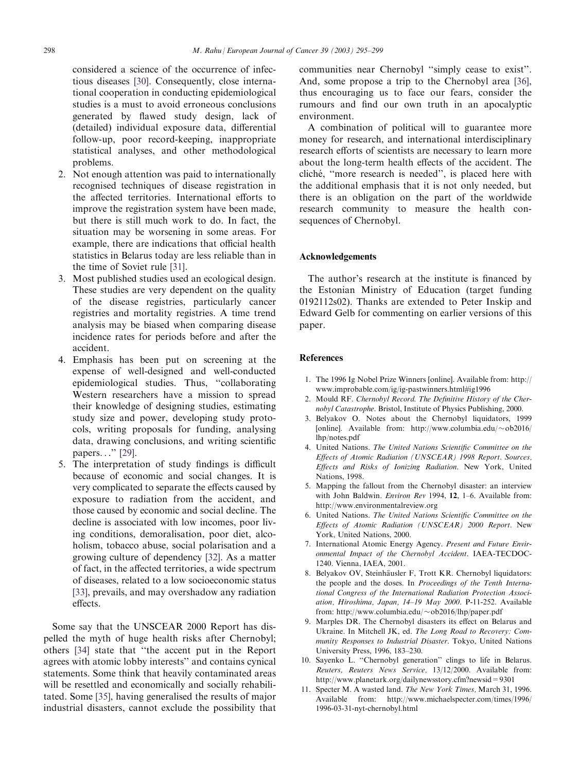<span id="page-3-0"></span>considered a science of the occurrence of infectious diseases [\[30\]](#page-4-0). Consequently, close international cooperation in conducting epidemiological studies is a must to avoid erroneous conclusions generated by flawed study design, lack of (detailed) individual exposure data, differential follow-up, poor record-keeping, inappropriate statistical analyses, and other methodological problems.

- 2. Not enough attention was paid to internationally recognised techniques of disease registration in the affected territories. International efforts to improve the registration system have been made, but there is still much work to do. In fact, the situation may be worsening in some areas. For example, there are indications that official health statistics in Belarus today are less reliable than in the time of Soviet rule [\[31\]](#page-4-0).
- 3. Most published studies used an ecological design. These studies are very dependent on the quality of the disease registries, particularly cancer registries and mortality registries. A time trend analysis may be biased when comparing disease incidence rates for periods before and after the accident.
- 4. Emphasis has been put on screening at the expense of well-designed and well-conducted epidemiological studies. Thus, ''collaborating Western researchers have a mission to spread their knowledge of designing studies, estimating study size and power, developing study protocols, writing proposals for funding, analysing data, drawing conclusions, and writing scientific papers...'' [\[29\]](#page-4-0).
- 5. The interpretation of study findings is difficult because of economic and social changes. It is very complicated to separate the effects caused by exposure to radiation from the accident, and those caused by economic and social decline. The decline is associated with low incomes, poor living conditions, demoralisation, poor diet, alcoholism, tobacco abuse, social polarisation and a growing culture of dependency [\[32\].](#page-4-0) As a matter of fact, in the affected territories, a wide spectrum of diseases, related to a low socioeconomic status [\[33\]](#page-4-0), prevails, and may overshadow any radiation effects.

Some say that the UNSCEAR 2000 Report has dispelled the myth of huge health risks after Chernobyl; others [\[34\]](#page-4-0) state that ''the accent put in the Report agrees with atomic lobby interests'' and contains cynical statements. Some think that heavily contaminated areas will be resettled and economically and socially rehabilitated. Some [\[35\],](#page-4-0) having generalised the results of major industrial disasters, cannot exclude the possibility that communities near Chernobyl ''simply cease to exist''. And, some propose a trip to the Chernobyl area [\[36\]](#page-4-0), thus encouraging us to face our fears, consider the rumours and find our own truth in an apocalyptic environment.

A combination of political will to guarantee more money for research, and international interdisciplinary research efforts of scientists are necessary to learn more about the long-term health effects of the accident. The cliché, "more research is needed", is placed here with the additional emphasis that it is not only needed, but there is an obligation on the part of the worldwide research community to measure the health consequences of Chernobyl.

#### Acknowledgements

The author's research at the institute is financed by the Estonian Ministry of Education (target funding 0192112s02). Thanks are extended to Peter Inskip and Edward Gelb for commenting on earlier versions of this paper.

#### References

- 1. The 1996 Ig Nobel Prize Winners [online]. Available from: http:// www.improbable.com/ig/ig-pastwinners.html#ig1996
- 2. Mould RF. Chernobyl Record. The Definitive History of the Chernobyl Catastrophe. Bristol, Institute of Physics Publishing, 2000.
- 3. Belyakov O. Notes about the Chernobyl liquidators, 1999 [online]. Available from: http://www.columbia.edu/ $\sim$ ob2016/ lhp/notes.pdf
- 4. United Nations. The United Nations Scientific Committee on the Effects of Atomic Radiation (UNSCEAR) 1998 Report. Sources, Effects and Risks of Ionizing Radiation. New York, United Nations, 1998.
- 5. Mapping the fallout from the Chernobyl disaster: an interview with John Baldwin. *Environ Rev* 1994, 12, 1–6. Available from: http://www.environmentalreview.org
- 6. United Nations. The United Nations Scientific Committee on the Effects of Atomic Radiation (UNSCEAR) 2000 Report. New York, United Nations, 2000.
- 7. International Atomic Energy Agency. Present and Future Environmental Impact of the Chernobyl Accident. IAEA-TECDOC-1240. Vienna, IAEA, 2001.
- 8. Belyakov OV, Steinhäusler F, Trott KR. Chernobyl liquidators: the people and the doses. In Proceedings of the Tenth International Congress of the International Radiation Protection Association, Hiroshima, Japan, 14–19 May 2000. P-11-252. Available from: http://www.columbia.edu/ $\sim$ ob2016/lhp/paper.pdf
- 9. Marples DR. The Chernobyl disasters its effect on Belarus and Ukraine. In Mitchell JK, ed. The Long Road to Recovery: Community Responses to Industrial Disaster. Tokyo, United Nations University Press, 1996, 183–230.
- 10. Sayenko L. ''Chernobyl generation'' clings to life in Belarus. Reuters, Reuters News Service, 13/12/2000. Available from: http://www.planetark.org/dailynewsstory.cfm?newsid=9301
- 11. Specter M. A wasted land. The New York Times, March 31, 1996. Available from: http://www.michaelspecter.com/times/1996/ 1996-03-31-nyt-chernobyl.html